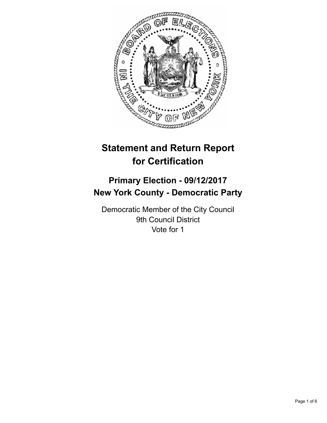

# **Statement and Return Report for Certification**

## **Primary Election - 09/12/2017 New York County - Democratic Party**

Democratic Member of the City Council 9th Council District Vote for 1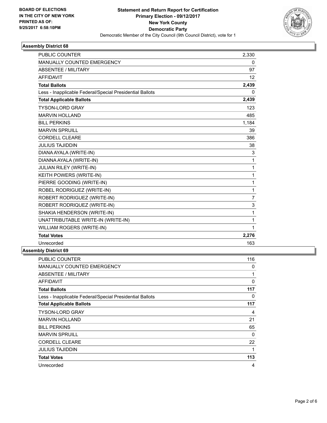

### **Assembly District 68**

| <b>PUBLIC COUNTER</b>                                    | 2,330          |
|----------------------------------------------------------|----------------|
| MANUALLY COUNTED EMERGENCY                               | 0              |
| <b>ABSENTEE / MILITARY</b>                               | 97             |
| <b>AFFIDAVIT</b>                                         | 12             |
| <b>Total Ballots</b>                                     | 2,439          |
| Less - Inapplicable Federal/Special Presidential Ballots | $\Omega$       |
| <b>Total Applicable Ballots</b>                          | 2,439          |
| <b>TYSON-LORD GRAY</b>                                   | 123            |
| <b>MARVIN HOLLAND</b>                                    | 485            |
| <b>BILL PERKINS</b>                                      | 1,184          |
| <b>MARVIN SPRUILL</b>                                    | 39             |
| <b>CORDELL CLEARE</b>                                    | 386            |
| <b>JULIUS TAJIDDIN</b>                                   | 38             |
| DIANA AYALA (WRITE-IN)                                   | 3              |
| DIANNA AYALA (WRITE-IN)                                  | 1              |
| <b>JULIAN RILEY (WRITE-IN)</b>                           | 1              |
| KEITH POWERS (WRITE-IN)                                  | 1              |
| PIERRE GOODING (WRITE-IN)                                | 1              |
| ROBEL RODRIGUEZ (WRITE-IN)                               | 1              |
| ROBERT RODRIGUEZ (WRITE-IN)                              | $\overline{7}$ |
| ROBERT RODRIQUEZ (WRITE-IN)                              | 3              |
| SHAKIA HENDERSON (WRITE-IN)                              | 1              |
| UNATTRIBUTABLE WRITE-IN (WRITE-IN)                       | 1              |
| <b>WILLIAM ROGERS (WRITE-IN)</b>                         | 1              |
| <b>Total Votes</b>                                       | 2,276          |
| Unrecorded                                               | 163            |
|                                                          |                |

### **Assembly District 69**

| PUBLIC COUNTER                                           | 116 |
|----------------------------------------------------------|-----|
| <b>MANUALLY COUNTED EMERGENCY</b>                        | 0   |
| <b>ABSENTEE / MILITARY</b>                               | 1   |
| AFFIDAVIT                                                | 0   |
| <b>Total Ballots</b>                                     | 117 |
| Less - Inapplicable Federal/Special Presidential Ballots | 0   |
| <b>Total Applicable Ballots</b>                          | 117 |
| <b>TYSON-LORD GRAY</b>                                   | 4   |
| MARVIN HOLLAND                                           | 21  |
| <b>BILL PERKINS</b>                                      | 65  |
| <b>MARVIN SPRUILL</b>                                    | 0   |
| <b>CORDELL CLEARE</b>                                    | 22  |
| <b>JULIUS TAJIDDIN</b>                                   | 1   |
| <b>Total Votes</b>                                       | 113 |
| Unrecorded                                               | 4   |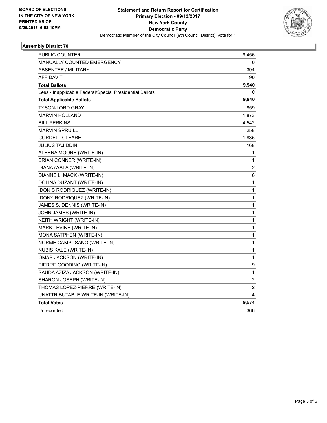

### **Assembly District 70**

| PUBLIC COUNTER                                           | 9,456                   |
|----------------------------------------------------------|-------------------------|
| <b>MANUALLY COUNTED EMERGENCY</b>                        | 0                       |
| <b>ABSENTEE / MILITARY</b>                               | 394                     |
| <b>AFFIDAVIT</b>                                         | 90                      |
| <b>Total Ballots</b>                                     | 9,940                   |
| Less - Inapplicable Federal/Special Presidential Ballots | 0                       |
| <b>Total Applicable Ballots</b>                          | 9,940                   |
| <b>TYSON-LORD GRAY</b>                                   | 859                     |
| <b>MARVIN HOLLAND</b>                                    | 1,873                   |
| <b>BILL PERKINS</b>                                      | 4,542                   |
| <b>MARVIN SPRUILL</b>                                    | 258                     |
| <b>CORDELL CLEARE</b>                                    | 1,835                   |
| JULIUS TAJIDDIN                                          | 168                     |
| ATHENA MOORE (WRITE-IN)                                  | 1                       |
| <b>BRIAN CONNER (WRITE-IN)</b>                           | 1                       |
| DIANA AYALA (WRITE-IN)                                   | $\overline{2}$          |
| DIANNE L. MACK (WRITE-IN)                                | 6                       |
| DOLINA DUZANT (WRITE-IN)                                 | 1                       |
| <b>IDONIS RODRIGUEZ (WRITE-IN)</b>                       | 1                       |
| <b>IDONY RODRIQUEZ (WRITE-IN)</b>                        | 1                       |
| JAMES S. DENNIS (WRITE-IN)                               | 1                       |
| JOHN JAMES (WRITE-IN)                                    | $\mathbf{1}$            |
| KEITH WRIGHT (WRITE-IN)                                  | $\mathbf{1}$            |
| MARK LEVINE (WRITE-IN)                                   | 1                       |
| MONA SATPHEN (WRITE-IN)                                  | 1                       |
| NORME CAMPUSANO (WRITE-IN)                               | 1                       |
| <b>NUBIS KALE (WRITE-IN)</b>                             | 1                       |
| OMAR JACKSON (WRITE-IN)                                  | 1                       |
| PIERRE GOODING (WRITE-IN)                                | 9                       |
| SAUDA AZIZA JACKSON (WRITE-IN)                           | 1                       |
| SHARON JOSEPH (WRITE-IN)                                 | $\overline{\mathbf{c}}$ |
| THOMAS LOPEZ-PIERRE (WRITE-IN)                           | $\overline{2}$          |
| UNATTRIBUTABLE WRITE-IN (WRITE-IN)                       | 4                       |
| <b>Total Votes</b>                                       | 9,574                   |
| Unrecorded                                               | 366                     |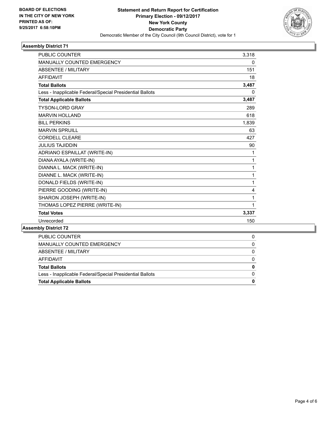

### **Assembly District 71**

| <b>PUBLIC COUNTER</b>                                    | 3,318 |
|----------------------------------------------------------|-------|
| <b>MANUALLY COUNTED EMERGENCY</b>                        | 0     |
| <b>ABSENTEE / MILITARY</b>                               | 151   |
| <b>AFFIDAVIT</b>                                         | 18    |
| <b>Total Ballots</b>                                     | 3,487 |
| Less - Inapplicable Federal/Special Presidential Ballots | 0     |
| <b>Total Applicable Ballots</b>                          | 3,487 |
| <b>TYSON-LORD GRAY</b>                                   | 289   |
| <b>MARVIN HOLLAND</b>                                    | 618   |
| <b>BILL PERKINS</b>                                      | 1,839 |
| <b>MARVIN SPRUILL</b>                                    | 63    |
| <b>CORDELL CLEARE</b>                                    | 427   |
| <b>JULIUS TAJIDDIN</b>                                   | 90    |
| ADRIANO ESPAILLAT (WRITE-IN)                             | 1     |
| DIANA AYALA (WRITE-IN)                                   | 1     |
| DIANNA L. MACK (WRITE-IN)                                | 1     |
| DIANNE L. MACK (WRITE-IN)                                | 1     |
| DONALD FIELDS (WRITE-IN)                                 | 1     |
| PIERRE GOODING (WRITE-IN)                                | 4     |
| SHARON JOSEPH (WRITE-IN)                                 | 1     |
| THOMAS LOPEZ PIERRE (WRITE-IN)                           | 1     |
| <b>Total Votes</b>                                       | 3,337 |
| Unrecorded                                               | 150   |
| mhly Nietriot 72                                         |       |

**Assembly District 72**

| PUBLIC COUNTER                                           |   |
|----------------------------------------------------------|---|
| MANUALLY COUNTED EMERGENCY                               |   |
| ABSENTEE / MILITARY                                      | 0 |
| AFFIDAVIT                                                |   |
| <b>Total Ballots</b>                                     | 0 |
| Less - Inapplicable Federal/Special Presidential Ballots |   |
| <b>Total Applicable Ballots</b>                          |   |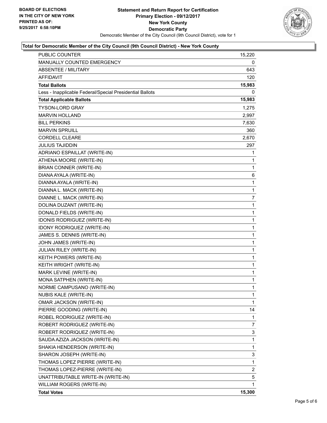

### **Total for Democratic Member of the City Council (9th Council District) - New York County**

| <b>PUBLIC COUNTER</b>                                    | 15,220         |
|----------------------------------------------------------|----------------|
| MANUALLY COUNTED EMERGENCY                               | 0              |
| <b>ABSENTEE / MILITARY</b>                               | 643            |
| AFFIDAVIT                                                | 120            |
| <b>Total Ballots</b>                                     | 15,983         |
| Less - Inapplicable Federal/Special Presidential Ballots | 0              |
| <b>Total Applicable Ballots</b>                          | 15,983         |
| <b>TYSON-LORD GRAY</b>                                   | 1,275          |
| <b>MARVIN HOLLAND</b>                                    | 2,997          |
| <b>BILL PERKINS</b>                                      | 7,630          |
| <b>MARVIN SPRUILL</b>                                    | 360            |
| <b>CORDELL CLEARE</b>                                    | 2,670          |
| <b>JULIUS TAJIDDIN</b>                                   | 297            |
| ADRIANO ESPAILLAT (WRITE-IN)                             | 1              |
| ATHENA MOORE (WRITE-IN)                                  | 1              |
| BRIAN CONNER (WRITE-IN)                                  | 1              |
| DIANA AYALA (WRITE-IN)                                   | 6              |
| DIANNA AYALA (WRITE-IN)                                  | $\mathbf{1}$   |
| DIANNA L. MACK (WRITE-IN)                                | 1              |
| DIANNE L. MACK (WRITE-IN)                                | $\overline{7}$ |
| DOLINA DUZANT (WRITE-IN)                                 | $\mathbf{1}$   |
| DONALD FIELDS (WRITE-IN)                                 | 1              |
| IDONIS RODRIGUEZ (WRITE-IN)                              | 1              |
| <b>IDONY RODRIQUEZ (WRITE-IN)</b>                        | 1              |
| JAMES S. DENNIS (WRITE-IN)                               | 1              |
| JOHN JAMES (WRITE-IN)                                    | $\mathbf 1$    |
| JULIAN RILEY (WRITE-IN)                                  | $\mathbf 1$    |
| KEITH POWERS (WRITE-IN)                                  | 1              |
| KEITH WRIGHT (WRITE-IN)                                  | 1              |
| MARK LEVINE (WRITE-IN)                                   | 1              |
| MONA SATPHEN (WRITE-IN)                                  | 1              |
| NORME CAMPUSANO (WRITE-IN)                               | $\mathbf{1}$   |
| <b>NUBIS KALE (WRITE-IN)</b>                             | 1              |
| OMAR JACKSON (WRITE-IN)                                  | 1              |
| PIERRE GOODING (WRITE-IN)                                | 14             |
| ROBEL RODRIGUEZ (WRITE-IN)                               | 1              |
| ROBERT RODRIGUEZ (WRITE-IN)                              | 7              |
| ROBERT RODRIQUEZ (WRITE-IN)                              | 3              |
| SAUDA AZIZA JACKSON (WRITE-IN)                           | 1              |
| SHAKIA HENDERSON (WRITE-IN)                              | 1              |
| SHARON JOSEPH (WRITE-IN)                                 | 3              |
| THOMAS LOPEZ PIERRE (WRITE-IN)                           | 1              |
| THOMAS LOPEZ-PIERRE (WRITE-IN)                           | 2              |
| UNATTRIBUTABLE WRITE-IN (WRITE-IN)                       | 5              |
| WILLIAM ROGERS (WRITE-IN)                                | 1              |
| <b>Total Votes</b>                                       | 15,300         |
|                                                          |                |